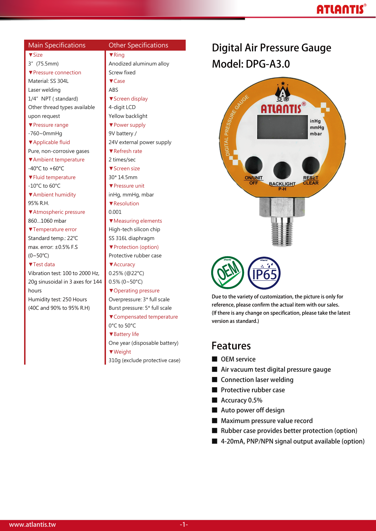# **ATLANTIS**

#### ▼Size 3"(75.5mm) ▼Pressure connection Material: SS 304L Laser welding 1/4" NPT (standard) Other thread types available upon request ▼Pressure range -760~0mmHg ▼Applicable fluid Pure, non-corrosive gases ▼Ambient temperature -40°C to +60°C ▼Fluid temperature -10°C to 60°C ▼Ambient humidity 95% R.H. ▼Atmospheric pressure 860…1060 mbar ▼Temperature error Standard temp.: 22℃ max. error: ±0.5% F.S (0~50℃) ▼Test data Vibration test: 100 to 2000 Hz, 20g sinusoidal in 3 axes for 144 hours Humidity test: 250 Hours (40C and 90% to 95% R.H) ABS 0.001

Main Specifications Other Specifications

▼Ring Anodized aluminum alloy Screw fixed ▼Case ▼Screen display 4-digit LCD Yellow backlight ▼Power supply 9V battery/ 24V external power supply ▼Refresh rate 2 times/sec ▼Screen size 30\* 14.5mm ▼Pressure unit inHg, mmHg, mbar ▼Resolution ▼Measuring elements High-tech silicon chip SS 316L diaphragm ▼Protection (option) Protective rubber case ▼Accuracy 0.25% (@22°C)  $0.5\%$  (0~50°C) ▼Operating pressure Overpressure: 3\* full scale Burst pressure: 5\* full scale ▼Compensated temperature 0°C to 50°C ▼Battery life One year (disposable battery) ▼Weight 310g (exclude protective case)

# **Digital Air Pressure Gauge Model: DPG-A3.0**



**Due to the variety of customization, the picture is only for reference, please confirm the actual item with our sales. (If there is any change on specification, please take the latest version as standard.)**

### **Features**

- **■ OEM service**
- **■ Air vacuum test digital pressure gauge**
- **■ Connection laser welding**
- **■ Protective rubber case**
- **■ Accuracy 0.5%**
- **■ Auto power off design**
- **■ Maximum pressure value record**
- **■ Rubber case provides better protection (option)**
- **■ 4-20mA, PNP/NPN signal output available (option)**